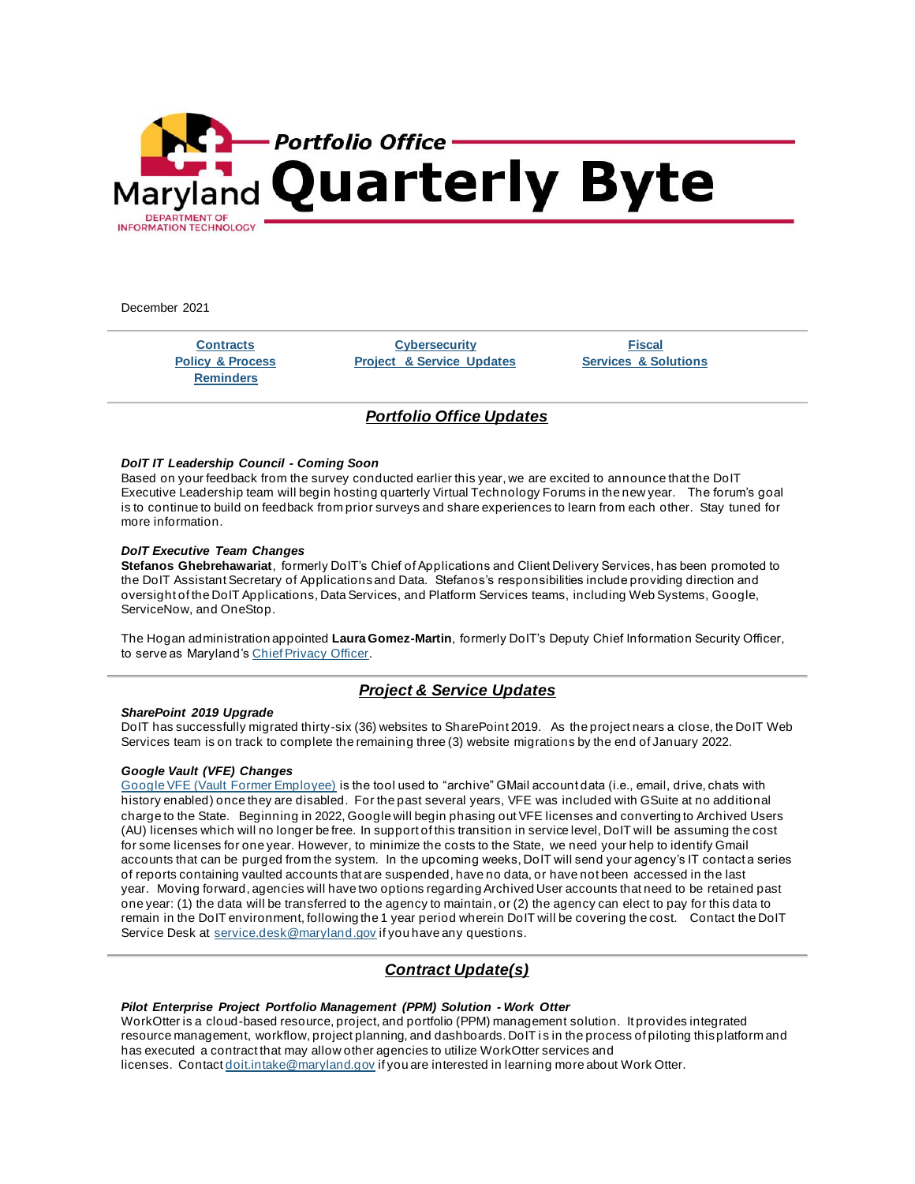

December 2021

**[Reminders](https://mail.google.com/mail/u/0/#m_-1254721107885517431_Reminders)**

**[Contracts](https://mail.google.com/mail/u/0/#m_-1254721107885517431_ContractUpdates) [Cybersecurity](https://mail.google.com/mail/u/0/#m_-1254721107885517431_ITSecurity) [Fiscal](https://mail.google.com/mail/u/0/#m_-1254721107885517431_Fiscal) [Policy & Process](https://mail.google.com/mail/u/0/#m_-1254721107885517431_Policy-Process) Project [& Service Updates](https://mail.google.com/mail/u/0/#m_-1254721107885517431_Projects-Services-Updates) [Services & Solutions](https://mail.google.com/mail/u/0/#m_-1254721107885517431_Services-Solutions)**

# *Portfolio Office Updates*

### *DoIT IT Leadership Council - Coming Soon*

Based on your feedback from the survey conducted earlier this year, we are excited to announce that the DoIT Executive Leadership team will begin hosting quarterly Virtual Technology Forums in the new year. The forum's goal is to continue to build on feedback from prior surveys and share experiences to learn from each other. Stay tuned for more information.

## *DoIT Executive Team Changes*

**Stefanos Ghebrehawariat**, formerly DoIT's Chief of Applications and Client Delivery Services, has been promoted to the DoIT Assistant Secretary of Applications and Data. Stefanos's responsibilities include providing direction and oversight of the DoIT Applications, Data Services, and Platform Services teams, including Web Systems, Google, ServiceNow, and OneStop.

The Hogan administration appointed **Laura Gomez-Martin**, formerly DoIT's Deputy Chief Information Security Officer, to serve as Maryland's [Chief Privacy Officer.](https://lnks.gd/l/eyJhbGciOiJIUzI1NiJ9.eyJidWxsZXRpbl9saW5rX2lkIjoxMDAsInVyaSI6ImJwMjpjbGljayIsImJ1bGxldGluX2lkIjoiMjAyMTEyMjMuNTA3NjgzNDEiLCJ1cmwiOiJodHRwczovL2dvdmVybm9yLm1hcnlsYW5kLmdvdi8yMDIxLzExLzEwL2dvdmVybm9yLWhvZ2FuLWFubm91bmNlcy1uZXctY2hpZWYtcHJpdmFjeS1vZmZpY2VyLWFuZC1jaGllZi1kYXRhLW9mZmljZXItZm9yLXN0YXRlLW9mLW1hcnlsYW5kLyJ9.TOLRUcjKlkcEO0BoVE_ad90j1E82nZnNs8akf7JWjQc/s/267717117/br/123671347192-l)

# *Project & Service Updates*

### *SharePoint 2019 Upgrade*

DoIT has successfully migrated thirty-six (36) websites to SharePoint 2019. As the project nears a close, the DoIT Web Services team is on track to complete the remaining three (3) website migrations by the end of January 2022.

## *Google Vault (VFE) Changes*

[Google VFE \(Vault Former Employee\)](https://lnks.gd/l/eyJhbGciOiJIUzI1NiJ9.eyJidWxsZXRpbl9saW5rX2lkIjoxMDEsInVyaSI6ImJwMjpjbGljayIsImJ1bGxldGluX2lkIjoiMjAyMTEyMjMuNTA3NjgzNDEiLCJ1cmwiOiJodHRwczovL3N1cHBvcnQuZ29vZ2xlLmNvbS92YXVsdC9hbnN3ZXIvMjQ2MjM2NSJ9.zXWa2EmzlbzIbUraHzReCctgkyRmLLcnJKf-A432-vk/s/267717117/br/123671347192-l) is the tool used to "archive" GMail account data (i.e., email, drive, chats with history enabled) once they are disabled. For the past several years, VFE was included with GSuite at no additional charge to the State. Beginning in 2022, Google will begin phasing out VFE licenses and converting to Archived Users (AU) licenses which will no longer be free. In support of this transition in service level, DoIT will be assuming the cost for some licenses for one year. However, to minimize the costs to the State, we need your help to identify Gmail accounts that can be purged from the system. In the upcoming weeks, DoIT will send your agency's IT contact a series of reports containing vaulted accounts that are suspended, have no data, or have not been accessed in the last year. Moving forward, agencies will have two options regarding Archived User accounts that need to be retained past one year: (1) the data will be transferred to the agency to maintain, or (2) the agency can elect to pay for this data to remain in the DoIT environment, following the 1 year period wherein DoIT will be covering the cost. Contact the DoIT Service Desk at [service.desk@maryland.gov](mailto:service.desk@maryland.gov) if you have any questions.

# *Contract Update(s)*

## *Pilot Enterprise Project Portfolio Management (PPM) Solution - Work Otter*

WorkOtter is a cloud-based resource, project, and portfolio (PPM) management solution. It provides integrated resource management, workflow, project planning, and dashboards. DoIT is in the process of piloting this platform and has executed a contract that may allow other agencies to utilize WorkOtter services and licenses. Contact [doit.intake@maryland.gov](mailto:doit.intake@maryland.gov) if you are interested in learning more about Work Otter.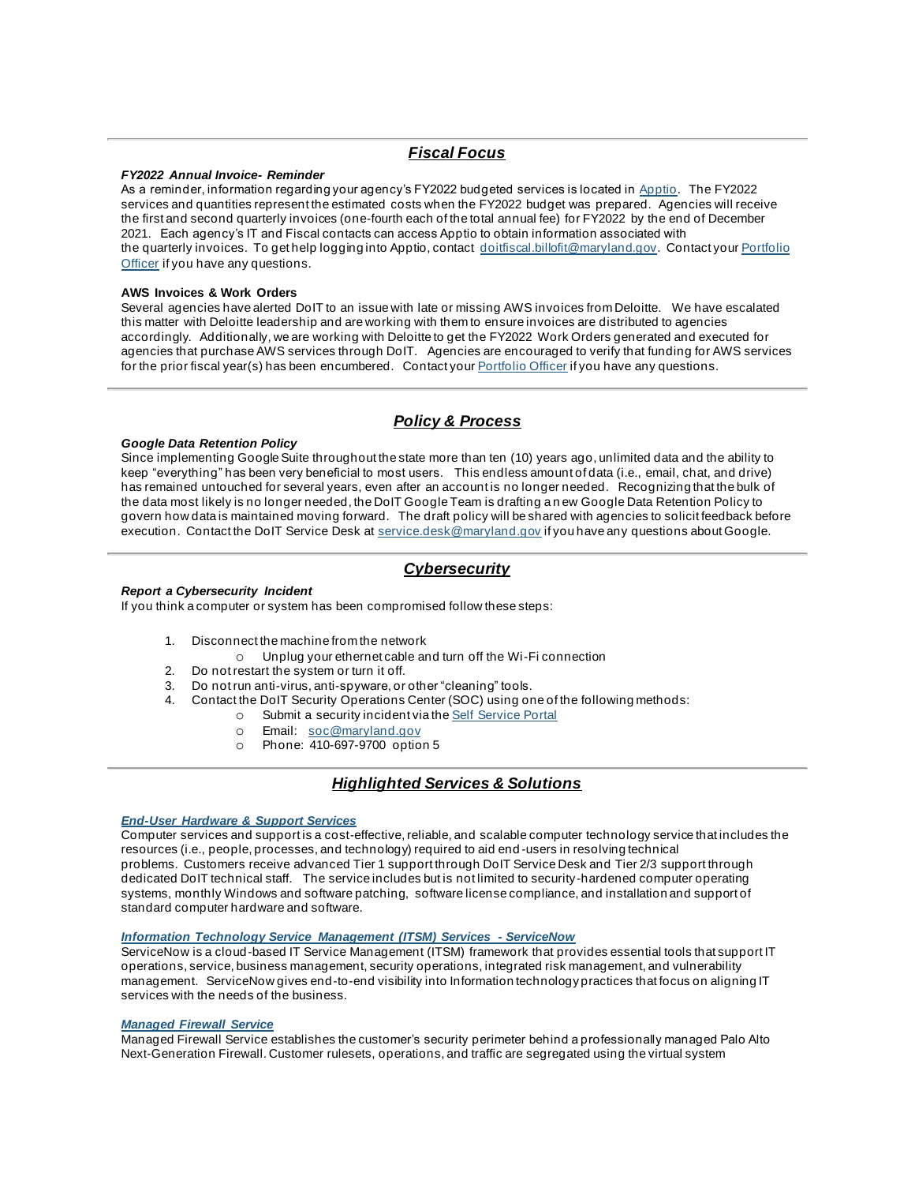# *Fiscal Focus*

## *FY2022 Annual Invoice- Reminder*

As a reminder, information regarding your agency's FY2022 budgeted services is located in [Apptio](https://lnks.gd/l/eyJhbGciOiJIUzI1NiJ9.eyJidWxsZXRpbl9saW5rX2lkIjoxMDMsInVyaSI6ImJwMjpjbGljayIsImJ1bGxldGluX2lkIjoiMjAyMTEyMjMuNTA3NjgzNDEiLCJ1cmwiOiJodHRwczovL2Zyb250ZG9vci5hcHB0aW8uY29tLyJ9.T73R_ENZ45VPHi36FYRTkcrhfb_VjhznmPKwZurzK2w/s/267717117/br/123671347192-l). The FY2022 services and quantities represent the estimated costs when the FY2022 budget was prepared. Agencies will receive the first and second quarterly invoices (one-fourth each of the total annual fee) for FY2022 by the end of December 2021. Each agency's IT and Fiscal contacts can access Apptio to obtain information associated with the quarterly invoices. To get help logging into Apptio, contact [doitfiscal.billofit@maryland.gov](mailto:doitfiscal.billofit@maryland.gov). Contact your Portfolio [Officer](https://lnks.gd/l/eyJhbGciOiJIUzI1NiJ9.eyJidWxsZXRpbl9saW5rX2lkIjoxMDQsInVyaSI6ImJwMjpjbGljayIsImJ1bGxldGluX2lkIjoiMjAyMTEyMjMuNTA3NjgzNDEiLCJ1cmwiOiJodHRwczovL2RvaXQubWFyeWxhbmQuZ292L3N1cHBvcnQvUGFnZXMvcG9ydGZvbGlvLW9mZmljZXJzLmFzcHgifQ.QpN4lQ9xkaukgmvkk8sIZ9uUAIpDOgJDzQoCfQUg-g0/s/267717117/br/123671347192-l) if you have any questions.

#### **AWS Invoices & Work Orders**

Several agencies have alerted DoIT to an issue with late or missing AWS invoices from Deloitte. We have escalated this matter with Deloitte leadership and are working with them to ensure invoices are distributed to agencies accordingly. Additionally, we are working with Deloitte to get the FY2022 Work Orders generated and executed for agencies that purchase AWS services through DoIT. Agencies are encouraged to verify that funding for AWS services for the prior fiscal year(s) has been encumbered. Contact your [Portfolio Officer](https://lnks.gd/l/eyJhbGciOiJIUzI1NiJ9.eyJidWxsZXRpbl9saW5rX2lkIjoxMDUsInVyaSI6ImJwMjpjbGljayIsImJ1bGxldGluX2lkIjoiMjAyMTEyMjMuNTA3NjgzNDEiLCJ1cmwiOiJodHRwczovL2RvaXQubWFyeWxhbmQuZ292L3N1cHBvcnQvUGFnZXMvcG9ydGZvbGlvLW9mZmljZXJzLmFzcHgifQ._ZTx2XUkomgOpX7oH5Ih99ZXHcrgQY_GwjkN89IYKok/s/267717117/br/123671347192-l) if you have any questions.

# *Policy & Process*

## *Google Data Retention Policy*

Since implementing Google Suite throughout the state more than ten (10) years ago, unlimited data and the ability to keep "everything" has been very beneficial to most users. This endless amount of data (i.e., email, chat, and drive) has remained untouched for several years, even after an account is no longer needed. Recognizing that the bulk of the data most likely is no longer needed, the DoIT Google Team is drafting a n ew Google Data Retention Policy to govern how data is maintained moving forward. The draft policy will be shared with agencies to solicit feedback before execution. Contact the DoIT Service Desk at [service.desk@maryland.gov](mailto:service.desk@maryland.gov) if you have any questions about Google.

# *Cybersecurity*

## *Report a Cybersecurity Incident*

If you think a computer or system has been compromised follow these steps:

- 1. Disconnect the machine from the network
	- o Unplug your ethernet cable and turn off the Wi-Fi connection
- 2. Do not restart the system or turn it off.
- 3. Do not run anti-virus, anti-spyware, or other "cleaning" tools.
- 4. Contact the DoIT Security Operations Center (SOC) using one of the following methods:
	- o Submit a security incident via the [Self Service Portal](https://lnks.gd/l/eyJhbGciOiJIUzI1NiJ9.eyJidWxsZXRpbl9saW5rX2lkIjoxMDYsInVyaSI6ImJwMjpjbGljayIsImJ1bGxldGluX2lkIjoiMjAyMTEyMjMuNTA3NjgzNDEiLCJ1cmwiOiJodHRwczovL2RvaXRtYXJ5bGFuZC5zZXJ2aWNlLW5vdy5jb20vZG9pdD9pZD1zY19jYXRfaXRlbSZzeXNfaWQ9ZmJkMGJiMTMxYjg0ODExMGYwMWVjOTEzNjA0YmNiMGIifQ.PJ6HYArSIloH3uNCamyxooCz4gD1zvSft1Wl7Bl9upM/s/267717117/br/123671347192-l)
		- o Email: [soc@maryland.gov](mailto:doit.soc@maryland.gov)
		- o Phone: 410-697-9700 option 5

# *Highlighted Services & Solutions*

### *[End-User Hardware & Support Services](https://lnks.gd/l/eyJhbGciOiJIUzI1NiJ9.eyJidWxsZXRpbl9saW5rX2lkIjoxMDcsInVyaSI6ImJwMjpjbGljayIsImJ1bGxldGluX2lkIjoiMjAyMTEyMjMuNTA3NjgzNDEiLCJ1cmwiOiJodHRwczovL2RvaXQubWFyeWxhbmQuZ292L3N1cHBvcnQvUGFnZXMvZXVzcy5hc3B4In0.cUqK7cY760tj3jpGgY9gH2OxDb2QvR-KCKgN2ykYEns/s/267717117/br/123671347192-l)*

Computer services and support is a cost-effective, reliable, and scalable computer technology service that includes the resources (i.e., people, processes, and technology) required to aid end -users in resolving technical problems. Customers receive advanced Tier 1 support through DoIT Service Desk and Tier 2/3 support through dedicated DoIT technical staff. The service includes but is not limited to security-hardened computer operating systems, monthly Windows and software patching, software license compliance, and installation and support of standard computer hardware and software.

### *[Information Technology Service Management \(ITSM\) Services](https://lnks.gd/l/eyJhbGciOiJIUzI1NiJ9.eyJidWxsZXRpbl9saW5rX2lkIjoxMDgsInVyaSI6ImJwMjpjbGljayIsImJ1bGxldGluX2lkIjoiMjAyMTEyMjMuNTA3NjgzNDEiLCJ1cmwiOiJodHRwczovL2RvaXQubWFyeWxhbmQuZ292L3N1cHBvcnQvUGFnZXMvc2Nfc2VydmljZW5vdy5hc3B4In0.qMXR8VCKsdzQfvi95ZCuZV4IFVDNXoOSNcIU_zr4-o0/s/267717117/br/123671347192-l) - ServiceNow*

ServiceNow is a cloud-based IT Service Management (ITSM) framework that provides essential tools that support IT operations, service, business management, security operations, integrated risk management, and vulnerability management. ServiceNow gives end-to-end visibility into Information technology practices that focus on aligning IT services with the needs of the business.

#### *[Managed Firewall Service](https://lnks.gd/l/eyJhbGciOiJIUzI1NiJ9.eyJidWxsZXRpbl9saW5rX2lkIjoxMDksInVyaSI6ImJwMjpjbGljayIsImJ1bGxldGluX2lkIjoiMjAyMTEyMjMuNTA3NjgzNDEiLCJ1cmwiOiJodHRwczovL2RvaXQubWFyeWxhbmQuZ292L3N1cHBvcnQvUGFnZXMvc2NfY3liZXJfc2VjdXJpdHkuYXNweCJ9.WIHS9WWUPLKJtB2nzOt0EADxO8Wt3v-pv9w6zgMMoGk/s/267717117/br/123671347192-l)*

Managed Firewall Service establishes the customer's security perimeter behind a professionally managed Palo Alto Next-Generation Firewall. Customer rulesets, operations, and traffic are segregated using the virtual system